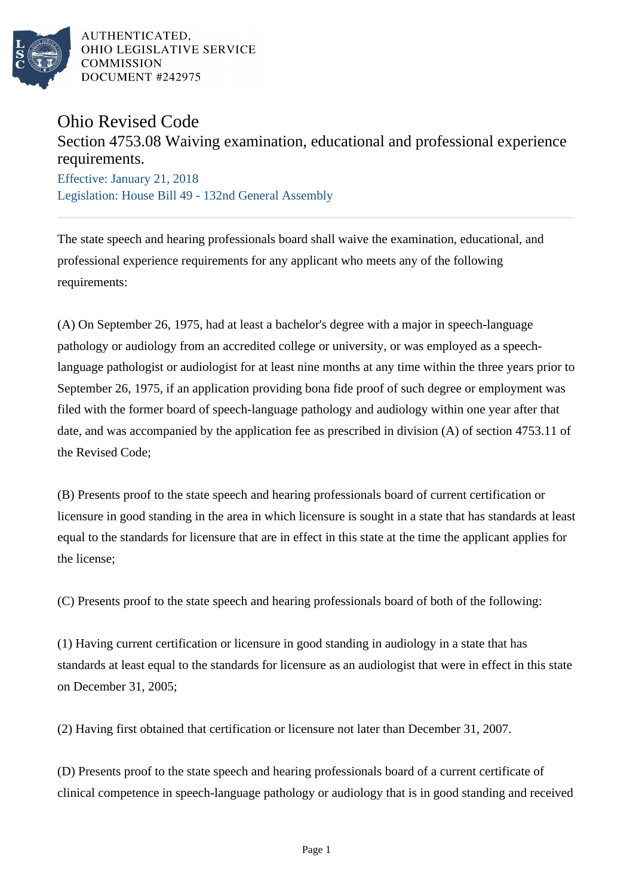

AUTHENTICATED. OHIO LEGISLATIVE SERVICE **COMMISSION** DOCUMENT #242975

## Ohio Revised Code

## Section 4753.08 Waiving examination, educational and professional experience requirements.

Effective: January 21, 2018 Legislation: House Bill 49 - 132nd General Assembly

The state speech and hearing professionals board shall waive the examination, educational, and professional experience requirements for any applicant who meets any of the following requirements:

(A) On September 26, 1975, had at least a bachelor's degree with a major in speech-language pathology or audiology from an accredited college or university, or was employed as a speechlanguage pathologist or audiologist for at least nine months at any time within the three years prior to September 26, 1975, if an application providing bona fide proof of such degree or employment was filed with the former board of speech-language pathology and audiology within one year after that date, and was accompanied by the application fee as prescribed in division (A) of section 4753.11 of the Revised Code;

(B) Presents proof to the state speech and hearing professionals board of current certification or licensure in good standing in the area in which licensure is sought in a state that has standards at least equal to the standards for licensure that are in effect in this state at the time the applicant applies for the license;

(C) Presents proof to the state speech and hearing professionals board of both of the following:

(1) Having current certification or licensure in good standing in audiology in a state that has standards at least equal to the standards for licensure as an audiologist that were in effect in this state on December 31, 2005;

(2) Having first obtained that certification or licensure not later than December 31, 2007.

(D) Presents proof to the state speech and hearing professionals board of a current certificate of clinical competence in speech-language pathology or audiology that is in good standing and received